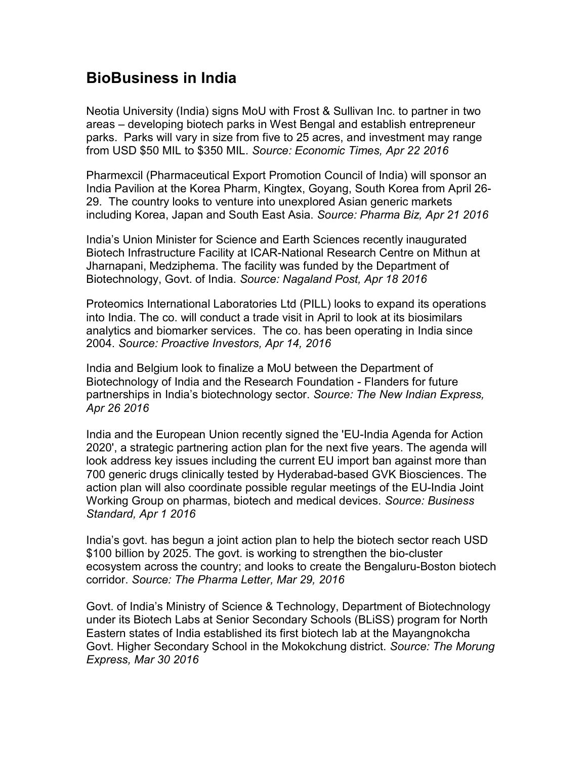## BioBusiness in India

Neotia University (India) signs MoU with Frost & Sullivan Inc. to partner in two areas – developing biotech parks in West Bengal and establish entrepreneur parks. Parks will vary in size from five to 25 acres, and investment may range from USD \$50 MIL to \$350 MIL. Source: Economic Times, Apr 22 2016

Pharmexcil (Pharmaceutical Export Promotion Council of India) will sponsor an India Pavilion at the Korea Pharm, Kingtex, Goyang, South Korea from April 26- 29. The country looks to venture into unexplored Asian generic markets including Korea, Japan and South East Asia. Source: Pharma Biz, Apr 21 2016

India's Union Minister for Science and Earth Sciences recently inaugurated Biotech Infrastructure Facility at ICAR-National Research Centre on Mithun at Jharnapani, Medziphema. The facility was funded by the Department of Biotechnology, Govt. of India. Source: Nagaland Post, Apr 18 2016

Proteomics International Laboratories Ltd (PILL) looks to expand its operations into India. The co. will conduct a trade visit in April to look at its biosimilars analytics and biomarker services. The co. has been operating in India since 2004. Source: Proactive Investors, Apr 14, 2016

India and Belgium look to finalize a MoU between the Department of Biotechnology of India and the Research Foundation - Flanders for future partnerships in India's biotechnology sector. Source: The New Indian Express, Apr 26 2016

India and the European Union recently signed the 'EU-India Agenda for Action 2020', a strategic partnering action plan for the next five years. The agenda will look address key issues including the current EU import ban against more than 700 generic drugs clinically tested by Hyderabad-based GVK Biosciences. The action plan will also coordinate possible regular meetings of the EU-India Joint Working Group on pharmas, biotech and medical devices. Source: Business Standard, Apr 1 2016

India's govt. has begun a joint action plan to help the biotech sector reach USD \$100 billion by 2025. The govt. is working to strengthen the bio-cluster ecosystem across the country; and looks to create the Bengaluru-Boston biotech corridor. Source: The Pharma Letter, Mar 29, 2016

Govt. of India's Ministry of Science & Technology, Department of Biotechnology under its Biotech Labs at Senior Secondary Schools (BLiSS) program for North Eastern states of India established its first biotech lab at the Mayangnokcha Govt. Higher Secondary School in the Mokokchung district. Source: The Morung Express, Mar 30 2016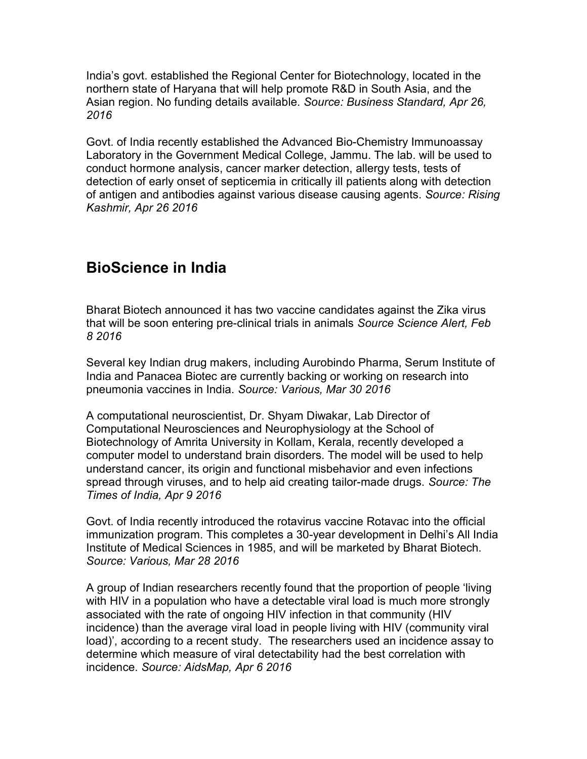India's govt. established the Regional Center for Biotechnology, located in the northern state of Haryana that will help promote R&D in South Asia, and the Asian region. No funding details available. Source: Business Standard, Apr 26, 2016

Govt. of India recently established the Advanced Bio-Chemistry Immunoassay Laboratory in the Government Medical College, Jammu. The lab. will be used to conduct hormone analysis, cancer marker detection, allergy tests, tests of detection of early onset of septicemia in critically ill patients along with detection of antigen and antibodies against various disease causing agents. Source: Rising Kashmir, Apr 26 2016

## BioScience in India

Bharat Biotech announced it has two vaccine candidates against the Zika virus that will be soon entering pre-clinical trials in animals Source Science Alert, Feb 8 2016

Several key Indian drug makers, including Aurobindo Pharma, Serum Institute of India and Panacea Biotec are currently backing or working on research into pneumonia vaccines in India. Source: Various, Mar 30 2016

A computational neuroscientist, Dr. Shyam Diwakar, Lab Director of Computational Neurosciences and Neurophysiology at the School of Biotechnology of Amrita University in Kollam, Kerala, recently developed a computer model to understand brain disorders. The model will be used to help understand cancer, its origin and functional misbehavior and even infections spread through viruses, and to help aid creating tailor-made drugs. Source: The Times of India, Apr 9 2016

Govt. of India recently introduced the rotavirus vaccine Rotavac into the official immunization program. This completes a 30-year development in Delhi's All India Institute of Medical Sciences in 1985, and will be marketed by Bharat Biotech. Source: Various, Mar 28 2016

A group of Indian researchers recently found that the proportion of people 'living with HIV in a population who have a detectable viral load is much more strongly associated with the rate of ongoing HIV infection in that community (HIV incidence) than the average viral load in people living with HIV (community viral load)', according to a recent study. The researchers used an incidence assay to determine which measure of viral detectability had the best correlation with incidence. Source: AidsMap, Apr 6 2016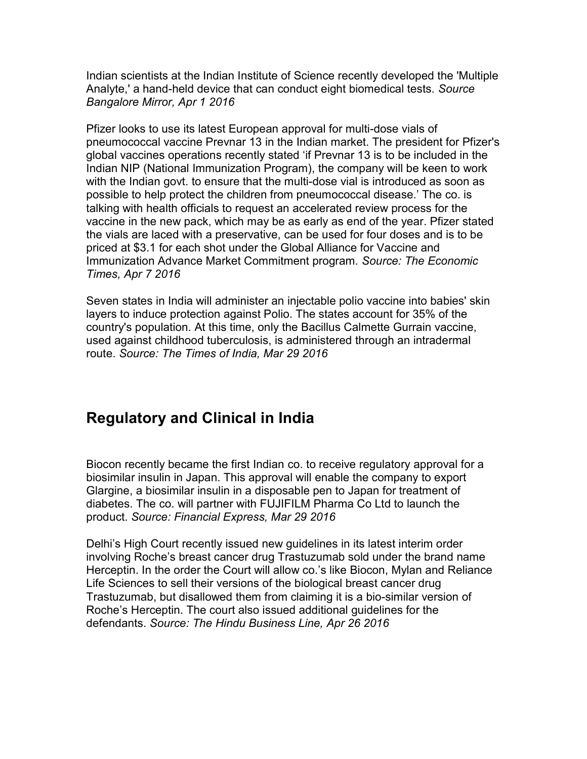Indian scientists at the Indian Institute of Science recently developed the 'Multiple Analyte,' a hand-held device that can conduct eight biomedical tests. Source Bangalore Mirror, Apr 1 2016

Pfizer looks to use its latest European approval for multi-dose vials of pneumococcal vaccine Prevnar 13 in the Indian market. The president for Pfizer's global vaccines operations recently stated 'if Prevnar 13 is to be included in the Indian NIP (National Immunization Program), the company will be keen to work with the Indian govt. to ensure that the multi-dose vial is introduced as soon as possible to help protect the children from pneumococcal disease.' The co. is talking with health officials to request an accelerated review process for the vaccine in the new pack, which may be as early as end of the year. Pfizer stated the vials are laced with a preservative, can be used for four doses and is to be priced at \$3.1 for each shot under the Global Alliance for Vaccine and Immunization Advance Market Commitment program. Source: The Economic Times, Apr 7 2016

Seven states in India will administer an injectable polio vaccine into babies' skin layers to induce protection against Polio. The states account for 35% of the country's population. At this time, only the Bacillus Calmette Gurrain vaccine, used against childhood tuberculosis, is administered through an intradermal route. Source: The Times of India, Mar 29 2016

## Regulatory and Clinical in India

Biocon recently became the first Indian co. to receive regulatory approval for a biosimilar insulin in Japan. This approval will enable the company to export Glargine, a biosimilar insulin in a disposable pen to Japan for treatment of diabetes. The co. will partner with FUJIFILM Pharma Co Ltd to launch the product. Source: Financial Express, Mar 29 2016

Delhi's High Court recently issued new guidelines in its latest interim order involving Roche's breast cancer drug Trastuzumab sold under the brand name Herceptin. In the order the Court will allow co.'s like Biocon, Mylan and Reliance Life Sciences to sell their versions of the biological breast cancer drug Trastuzumab, but disallowed them from claiming it is a bio-similar version of Roche's Herceptin. The court also issued additional guidelines for the defendants. Source: The Hindu Business Line, Apr 26 2016